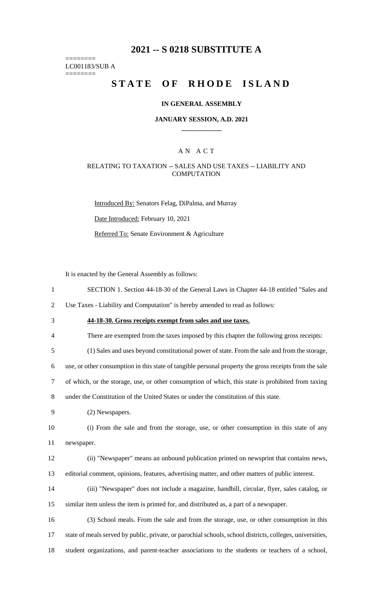# **2021 -- S 0218 SUBSTITUTE A**

======== LC001183/SUB A ========

# **STATE OF RHODE ISLAND**

#### **IN GENERAL ASSEMBLY**

#### **JANUARY SESSION, A.D. 2021 \_\_\_\_\_\_\_\_\_\_\_\_**

## A N A C T

#### RELATING TO TAXATION -- SALES AND USE TAXES -- LIABILITY AND **COMPUTATION**

Introduced By: Senators Felag, DiPalma, and Murray Date Introduced: February 10, 2021 Referred To: Senate Environment & Agriculture

It is enacted by the General Assembly as follows:

1 SECTION 1. Section 44-18-30 of the General Laws in Chapter 44-18 entitled "Sales and

2 Use Taxes - Liability and Computation" is hereby amended to read as follows:

- 3 **44-18-30. Gross receipts exempt from sales and use taxes.**
- 4 There are exempted from the taxes imposed by this chapter the following gross receipts:

5 (1) Sales and uses beyond constitutional power of state. From the sale and from the storage,

6 use, or other consumption in this state of tangible personal property the gross receipts from the sale

7 of which, or the storage, use, or other consumption of which, this state is prohibited from taxing

8 under the Constitution of the United States or under the constitution of this state.

9 (2) Newspapers.

10 (i) From the sale and from the storage, use, or other consumption in this state of any 11 newspaper.

12 (ii) "Newspaper" means an unbound publication printed on newsprint that contains news, 13 editorial comment, opinions, features, advertising matter, and other matters of public interest.

14 (iii) "Newspaper" does not include a magazine, handbill, circular, flyer, sales catalog, or 15 similar item unless the item is printed for, and distributed as, a part of a newspaper.

16 (3) School meals. From the sale and from the storage, use, or other consumption in this 17 state of meals served by public, private, or parochial schools, school districts, colleges, universities, 18 student organizations, and parent-teacher associations to the students or teachers of a school,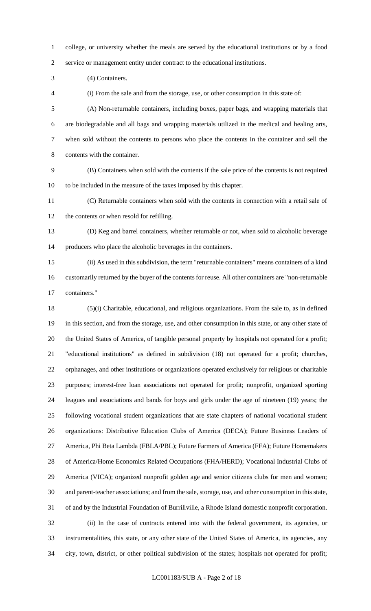college, or university whether the meals are served by the educational institutions or by a food service or management entity under contract to the educational institutions.

(4) Containers.

(i) From the sale and from the storage, use, or other consumption in this state of:

 (A) Non-returnable containers, including boxes, paper bags, and wrapping materials that are biodegradable and all bags and wrapping materials utilized in the medical and healing arts, when sold without the contents to persons who place the contents in the container and sell the contents with the container.

 (B) Containers when sold with the contents if the sale price of the contents is not required to be included in the measure of the taxes imposed by this chapter.

 (C) Returnable containers when sold with the contents in connection with a retail sale of the contents or when resold for refilling.

 (D) Keg and barrel containers, whether returnable or not, when sold to alcoholic beverage producers who place the alcoholic beverages in the containers.

 (ii) As used in this subdivision, the term "returnable containers" means containers of a kind customarily returned by the buyer of the contents for reuse. All other containers are "non-returnable containers."

 (5)(i) Charitable, educational, and religious organizations. From the sale to, as in defined in this section, and from the storage, use, and other consumption in this state, or any other state of the United States of America, of tangible personal property by hospitals not operated for a profit; "educational institutions" as defined in subdivision (18) not operated for a profit; churches, orphanages, and other institutions or organizations operated exclusively for religious or charitable purposes; interest-free loan associations not operated for profit; nonprofit, organized sporting leagues and associations and bands for boys and girls under the age of nineteen (19) years; the following vocational student organizations that are state chapters of national vocational student organizations: Distributive Education Clubs of America (DECA); Future Business Leaders of America, Phi Beta Lambda (FBLA/PBL); Future Farmers of America (FFA); Future Homemakers of America/Home Economics Related Occupations (FHA/HERD); Vocational Industrial Clubs of America (VICA); organized nonprofit golden age and senior citizens clubs for men and women; and parent-teacher associations; and from the sale, storage, use, and other consumption in this state, of and by the Industrial Foundation of Burrillville, a Rhode Island domestic nonprofit corporation. (ii) In the case of contracts entered into with the federal government, its agencies, or instrumentalities, this state, or any other state of the United States of America, its agencies, any city, town, district, or other political subdivision of the states; hospitals not operated for profit;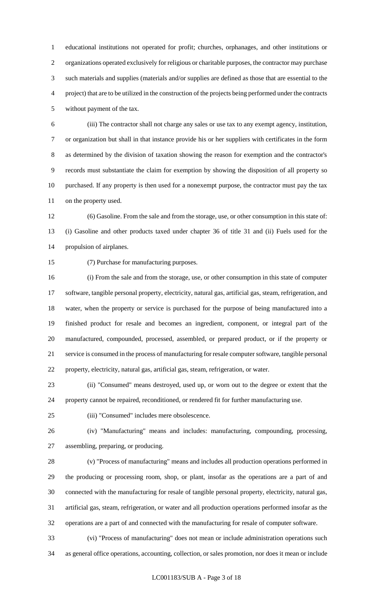educational institutions not operated for profit; churches, orphanages, and other institutions or organizations operated exclusively for religious or charitable purposes, the contractor may purchase such materials and supplies (materials and/or supplies are defined as those that are essential to the project) that are to be utilized in the construction of the projects being performed under the contracts without payment of the tax.

 (iii) The contractor shall not charge any sales or use tax to any exempt agency, institution, or organization but shall in that instance provide his or her suppliers with certificates in the form as determined by the division of taxation showing the reason for exemption and the contractor's records must substantiate the claim for exemption by showing the disposition of all property so purchased. If any property is then used for a nonexempt purpose, the contractor must pay the tax on the property used.

 (6) Gasoline. From the sale and from the storage, use, or other consumption in this state of: (i) Gasoline and other products taxed under chapter 36 of title 31 and (ii) Fuels used for the propulsion of airplanes.

(7) Purchase for manufacturing purposes.

 (i) From the sale and from the storage, use, or other consumption in this state of computer software, tangible personal property, electricity, natural gas, artificial gas, steam, refrigeration, and water, when the property or service is purchased for the purpose of being manufactured into a finished product for resale and becomes an ingredient, component, or integral part of the manufactured, compounded, processed, assembled, or prepared product, or if the property or service is consumed in the process of manufacturing for resale computer software, tangible personal property, electricity, natural gas, artificial gas, steam, refrigeration, or water.

 (ii) "Consumed" means destroyed, used up, or worn out to the degree or extent that the property cannot be repaired, reconditioned, or rendered fit for further manufacturing use.

(iii) "Consumed" includes mere obsolescence.

 (iv) "Manufacturing" means and includes: manufacturing, compounding, processing, assembling, preparing, or producing.

 (v) "Process of manufacturing" means and includes all production operations performed in the producing or processing room, shop, or plant, insofar as the operations are a part of and connected with the manufacturing for resale of tangible personal property, electricity, natural gas, artificial gas, steam, refrigeration, or water and all production operations performed insofar as the operations are a part of and connected with the manufacturing for resale of computer software.

 (vi) "Process of manufacturing" does not mean or include administration operations such as general office operations, accounting, collection, or sales promotion, nor does it mean or include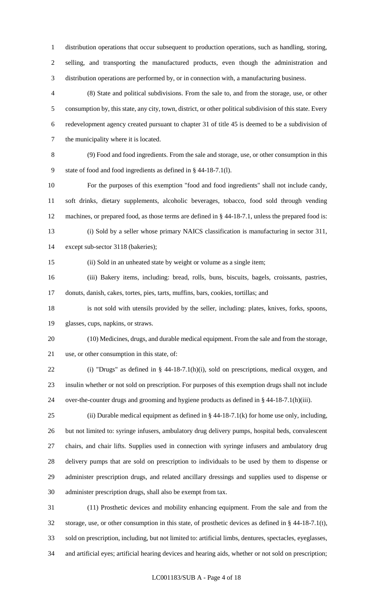distribution operations that occur subsequent to production operations, such as handling, storing, selling, and transporting the manufactured products, even though the administration and distribution operations are performed by, or in connection with, a manufacturing business.

 (8) State and political subdivisions. From the sale to, and from the storage, use, or other consumption by, this state, any city, town, district, or other political subdivision of this state. Every redevelopment agency created pursuant to chapter 31 of title 45 is deemed to be a subdivision of the municipality where it is located.

 (9) Food and food ingredients. From the sale and storage, use, or other consumption in this state of food and food ingredients as defined in § 44-18-7.1(l).

 For the purposes of this exemption "food and food ingredients" shall not include candy, soft drinks, dietary supplements, alcoholic beverages, tobacco, food sold through vending machines, or prepared food, as those terms are defined in § 44-18-7.1, unless the prepared food is: (i) Sold by a seller whose primary NAICS classification is manufacturing in sector 311,

except sub-sector 3118 (bakeries);

(ii) Sold in an unheated state by weight or volume as a single item;

 (iii) Bakery items, including: bread, rolls, buns, biscuits, bagels, croissants, pastries, donuts, danish, cakes, tortes, pies, tarts, muffins, bars, cookies, tortillas; and

 is not sold with utensils provided by the seller, including: plates, knives, forks, spoons, glasses, cups, napkins, or straws.

 (10) Medicines, drugs, and durable medical equipment. From the sale and from the storage, use, or other consumption in this state, of:

 (i) "Drugs" as defined in § 44-18-7.1(h)(i), sold on prescriptions, medical oxygen, and insulin whether or not sold on prescription. For purposes of this exemption drugs shall not include over-the-counter drugs and grooming and hygiene products as defined in § 44-18-7.1(h)(iii).

25 (ii) Durable medical equipment as defined in  $\S$  44-18-7.1(k) for home use only, including, but not limited to: syringe infusers, ambulatory drug delivery pumps, hospital beds, convalescent chairs, and chair lifts. Supplies used in connection with syringe infusers and ambulatory drug delivery pumps that are sold on prescription to individuals to be used by them to dispense or administer prescription drugs, and related ancillary dressings and supplies used to dispense or administer prescription drugs, shall also be exempt from tax.

 (11) Prosthetic devices and mobility enhancing equipment. From the sale and from the storage, use, or other consumption in this state, of prosthetic devices as defined in § 44-18-7.1(t), sold on prescription, including, but not limited to: artificial limbs, dentures, spectacles, eyeglasses, and artificial eyes; artificial hearing devices and hearing aids, whether or not sold on prescription;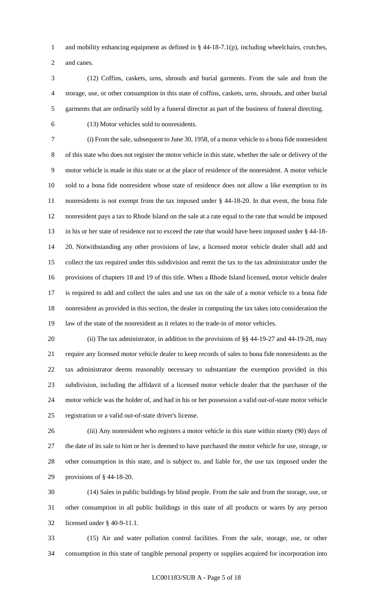and mobility enhancing equipment as defined in § 44-18-7.1(p), including wheelchairs, crutches, and canes.

 (12) Coffins, caskets, urns, shrouds and burial garments. From the sale and from the storage, use, or other consumption in this state of coffins, caskets, urns, shrouds, and other burial garments that are ordinarily sold by a funeral director as part of the business of funeral directing.

(13) Motor vehicles sold to nonresidents.

 (i) From the sale, subsequent to June 30, 1958, of a motor vehicle to a bona fide nonresident of this state who does not register the motor vehicle in this state, whether the sale or delivery of the motor vehicle is made in this state or at the place of residence of the nonresident. A motor vehicle sold to a bona fide nonresident whose state of residence does not allow a like exemption to its nonresidents is not exempt from the tax imposed under § 44-18-20. In that event, the bona fide nonresident pays a tax to Rhode Island on the sale at a rate equal to the rate that would be imposed in his or her state of residence not to exceed the rate that would have been imposed under § 44-18- 20. Notwithstanding any other provisions of law, a licensed motor vehicle dealer shall add and collect the tax required under this subdivision and remit the tax to the tax administrator under the provisions of chapters 18 and 19 of this title. When a Rhode Island licensed, motor vehicle dealer is required to add and collect the sales and use tax on the sale of a motor vehicle to a bona fide nonresident as provided in this section, the dealer in computing the tax takes into consideration the law of the state of the nonresident as it relates to the trade-in of motor vehicles.

20 (ii) The tax administrator, in addition to the provisions of §§ 44-19-27 and 44-19-28, may require any licensed motor vehicle dealer to keep records of sales to bona fide nonresidents as the tax administrator deems reasonably necessary to substantiate the exemption provided in this subdivision, including the affidavit of a licensed motor vehicle dealer that the purchaser of the motor vehicle was the holder of, and had in his or her possession a valid out-of-state motor vehicle registration or a valid out-of-state driver's license.

 (iii) Any nonresident who registers a motor vehicle in this state within ninety (90) days of the date of its sale to him or her is deemed to have purchased the motor vehicle for use, storage, or other consumption in this state, and is subject to, and liable for, the use tax imposed under the provisions of § 44-18-20.

 (14) Sales in public buildings by blind people. From the sale and from the storage, use, or other consumption in all public buildings in this state of all products or wares by any person licensed under § 40-9-11.1.

 (15) Air and water pollution control facilities. From the sale, storage, use, or other consumption in this state of tangible personal property or supplies acquired for incorporation into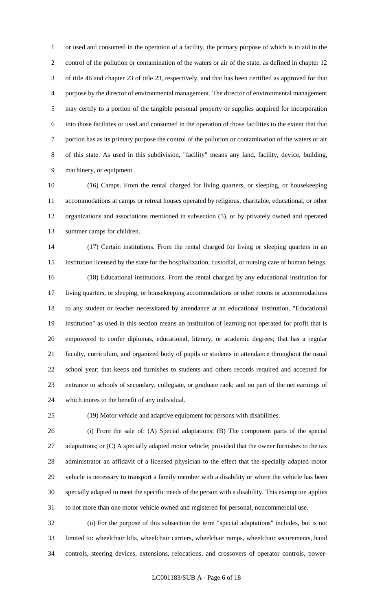or used and consumed in the operation of a facility, the primary purpose of which is to aid in the control of the pollution or contamination of the waters or air of the state, as defined in chapter 12 of title 46 and chapter 23 of title 23, respectively, and that has been certified as approved for that purpose by the director of environmental management. The director of environmental management may certify to a portion of the tangible personal property or supplies acquired for incorporation into those facilities or used and consumed in the operation of those facilities to the extent that that portion has as its primary purpose the control of the pollution or contamination of the waters or air of this state. As used in this subdivision, "facility" means any land, facility, device, building, machinery, or equipment.

 (16) Camps. From the rental charged for living quarters, or sleeping, or housekeeping accommodations at camps or retreat houses operated by religious, charitable, educational, or other organizations and associations mentioned in subsection (5), or by privately owned and operated summer camps for children.

 (17) Certain institutions. From the rental charged for living or sleeping quarters in an institution licensed by the state for the hospitalization, custodial, or nursing care of human beings. (18) Educational institutions. From the rental charged by any educational institution for living quarters, or sleeping, or housekeeping accommodations or other rooms or accommodations to any student or teacher necessitated by attendance at an educational institution. "Educational institution" as used in this section means an institution of learning not operated for profit that is empowered to confer diplomas, educational, literary, or academic degrees; that has a regular faculty, curriculum, and organized body of pupils or students in attendance throughout the usual school year; that keeps and furnishes to students and others records required and accepted for entrance to schools of secondary, collegiate, or graduate rank; and no part of the net earnings of which inures to the benefit of any individual.

(19) Motor vehicle and adaptive equipment for persons with disabilities.

 (i) From the sale of: (A) Special adaptations; (B) The component parts of the special 27 adaptations; or (C) A specially adapted motor vehicle; provided that the owner furnishes to the tax administrator an affidavit of a licensed physician to the effect that the specially adapted motor vehicle is necessary to transport a family member with a disability or where the vehicle has been specially adapted to meet the specific needs of the person with a disability. This exemption applies to not more than one motor vehicle owned and registered for personal, noncommercial use.

 (ii) For the purpose of this subsection the term "special adaptations" includes, but is not limited to: wheelchair lifts, wheelchair carriers, wheelchair ramps, wheelchair securements, hand controls, steering devices, extensions, relocations, and crossovers of operator controls, power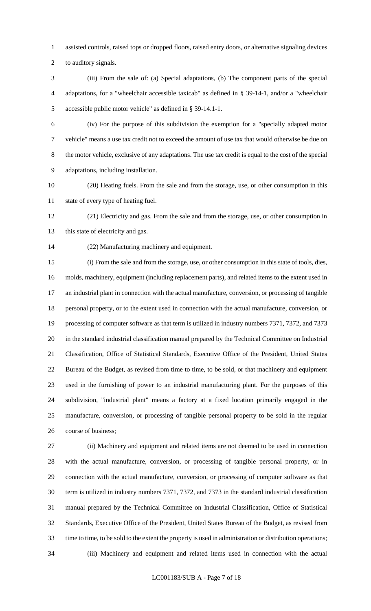assisted controls, raised tops or dropped floors, raised entry doors, or alternative signaling devices

to auditory signals.

 (iii) From the sale of: (a) Special adaptations, (b) The component parts of the special adaptations, for a "wheelchair accessible taxicab" as defined in § 39-14-1, and/or a "wheelchair accessible public motor vehicle" as defined in § 39-14.1-1.

 (iv) For the purpose of this subdivision the exemption for a "specially adapted motor vehicle" means a use tax credit not to exceed the amount of use tax that would otherwise be due on the motor vehicle, exclusive of any adaptations. The use tax credit is equal to the cost of the special adaptations, including installation.

 (20) Heating fuels. From the sale and from the storage, use, or other consumption in this state of every type of heating fuel.

 (21) Electricity and gas. From the sale and from the storage, use, or other consumption in 13 this state of electricity and gas.

(22) Manufacturing machinery and equipment.

 (i) From the sale and from the storage, use, or other consumption in this state of tools, dies, molds, machinery, equipment (including replacement parts), and related items to the extent used in an industrial plant in connection with the actual manufacture, conversion, or processing of tangible personal property, or to the extent used in connection with the actual manufacture, conversion, or processing of computer software as that term is utilized in industry numbers 7371, 7372, and 7373 in the standard industrial classification manual prepared by the Technical Committee on Industrial Classification, Office of Statistical Standards, Executive Office of the President, United States Bureau of the Budget, as revised from time to time, to be sold, or that machinery and equipment used in the furnishing of power to an industrial manufacturing plant. For the purposes of this subdivision, "industrial plant" means a factory at a fixed location primarily engaged in the manufacture, conversion, or processing of tangible personal property to be sold in the regular course of business;

 (ii) Machinery and equipment and related items are not deemed to be used in connection with the actual manufacture, conversion, or processing of tangible personal property, or in connection with the actual manufacture, conversion, or processing of computer software as that term is utilized in industry numbers 7371, 7372, and 7373 in the standard industrial classification manual prepared by the Technical Committee on Industrial Classification, Office of Statistical Standards, Executive Office of the President, United States Bureau of the Budget, as revised from time to time, to be sold to the extent the property is used in administration or distribution operations; (iii) Machinery and equipment and related items used in connection with the actual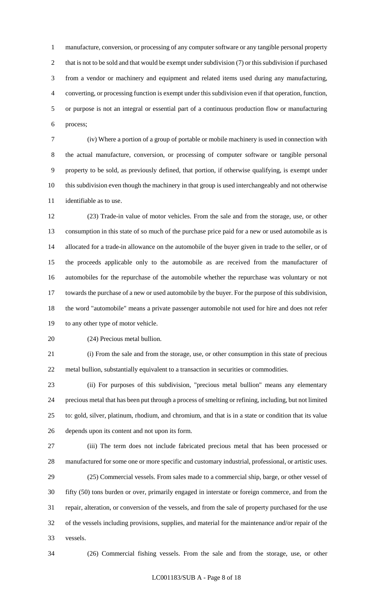manufacture, conversion, or processing of any computer software or any tangible personal property 2 that is not to be sold and that would be exempt under subdivision (7) or this subdivision if purchased from a vendor or machinery and equipment and related items used during any manufacturing, converting, or processing function is exempt under this subdivision even if that operation, function, or purpose is not an integral or essential part of a continuous production flow or manufacturing process;

 (iv) Where a portion of a group of portable or mobile machinery is used in connection with the actual manufacture, conversion, or processing of computer software or tangible personal property to be sold, as previously defined, that portion, if otherwise qualifying, is exempt under this subdivision even though the machinery in that group is used interchangeably and not otherwise identifiable as to use.

 (23) Trade-in value of motor vehicles. From the sale and from the storage, use, or other consumption in this state of so much of the purchase price paid for a new or used automobile as is allocated for a trade-in allowance on the automobile of the buyer given in trade to the seller, or of the proceeds applicable only to the automobile as are received from the manufacturer of automobiles for the repurchase of the automobile whether the repurchase was voluntary or not towards the purchase of a new or used automobile by the buyer. For the purpose of this subdivision, the word "automobile" means a private passenger automobile not used for hire and does not refer to any other type of motor vehicle.

(24) Precious metal bullion.

 (i) From the sale and from the storage, use, or other consumption in this state of precious metal bullion, substantially equivalent to a transaction in securities or commodities.

 (ii) For purposes of this subdivision, "precious metal bullion" means any elementary precious metal that has been put through a process of smelting or refining, including, but not limited to: gold, silver, platinum, rhodium, and chromium, and that is in a state or condition that its value depends upon its content and not upon its form.

 (iii) The term does not include fabricated precious metal that has been processed or manufactured for some one or more specific and customary industrial, professional, or artistic uses. (25) Commercial vessels. From sales made to a commercial ship, barge, or other vessel of

 fifty (50) tons burden or over, primarily engaged in interstate or foreign commerce, and from the repair, alteration, or conversion of the vessels, and from the sale of property purchased for the use of the vessels including provisions, supplies, and material for the maintenance and/or repair of the vessels.

(26) Commercial fishing vessels. From the sale and from the storage, use, or other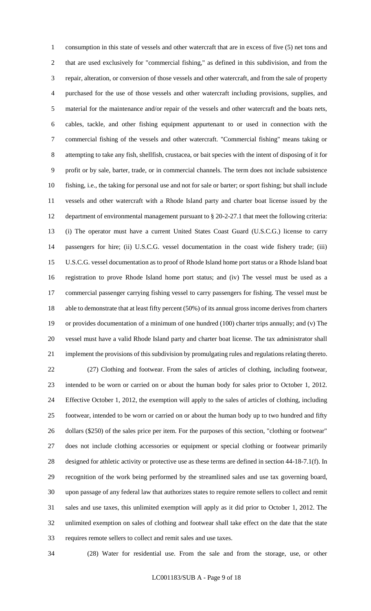consumption in this state of vessels and other watercraft that are in excess of five (5) net tons and that are used exclusively for "commercial fishing," as defined in this subdivision, and from the repair, alteration, or conversion of those vessels and other watercraft, and from the sale of property purchased for the use of those vessels and other watercraft including provisions, supplies, and material for the maintenance and/or repair of the vessels and other watercraft and the boats nets, cables, tackle, and other fishing equipment appurtenant to or used in connection with the commercial fishing of the vessels and other watercraft. "Commercial fishing" means taking or attempting to take any fish, shellfish, crustacea, or bait species with the intent of disposing of it for profit or by sale, barter, trade, or in commercial channels. The term does not include subsistence fishing, i.e., the taking for personal use and not for sale or barter; or sport fishing; but shall include vessels and other watercraft with a Rhode Island party and charter boat license issued by the department of environmental management pursuant to § 20-2-27.1 that meet the following criteria: (i) The operator must have a current United States Coast Guard (U.S.C.G.) license to carry passengers for hire; (ii) U.S.C.G. vessel documentation in the coast wide fishery trade; (iii) U.S.C.G. vessel documentation as to proof of Rhode Island home port status or a Rhode Island boat registration to prove Rhode Island home port status; and (iv) The vessel must be used as a commercial passenger carrying fishing vessel to carry passengers for fishing. The vessel must be able to demonstrate that at least fifty percent (50%) of its annual gross income derives from charters or provides documentation of a minimum of one hundred (100) charter trips annually; and (v) The vessel must have a valid Rhode Island party and charter boat license. The tax administrator shall implement the provisions of this subdivision by promulgating rules and regulations relating thereto. (27) Clothing and footwear. From the sales of articles of clothing, including footwear, intended to be worn or carried on or about the human body for sales prior to October 1, 2012. Effective October 1, 2012, the exemption will apply to the sales of articles of clothing, including footwear, intended to be worn or carried on or about the human body up to two hundred and fifty dollars (\$250) of the sales price per item. For the purposes of this section, "clothing or footwear" does not include clothing accessories or equipment or special clothing or footwear primarily designed for athletic activity or protective use as these terms are defined in section 44-18-7.1(f). In recognition of the work being performed by the streamlined sales and use tax governing board, upon passage of any federal law that authorizes states to require remote sellers to collect and remit sales and use taxes, this unlimited exemption will apply as it did prior to October 1, 2012. The unlimited exemption on sales of clothing and footwear shall take effect on the date that the state requires remote sellers to collect and remit sales and use taxes.

(28) Water for residential use. From the sale and from the storage, use, or other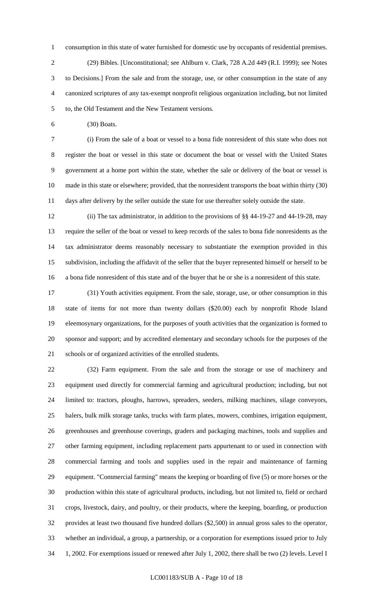consumption in this state of water furnished for domestic use by occupants of residential premises. (29) Bibles. [Unconstitutional; see Ahlburn v. Clark, 728 A.2d 449 (R.I. 1999); see Notes to Decisions.] From the sale and from the storage, use, or other consumption in the state of any canonized scriptures of any tax-exempt nonprofit religious organization including, but not limited to, the Old Testament and the New Testament versions.

(30) Boats.

 (i) From the sale of a boat or vessel to a bona fide nonresident of this state who does not register the boat or vessel in this state or document the boat or vessel with the United States government at a home port within the state, whether the sale or delivery of the boat or vessel is made in this state or elsewhere; provided, that the nonresident transports the boat within thirty (30) days after delivery by the seller outside the state for use thereafter solely outside the state.

 (ii) The tax administrator, in addition to the provisions of §§ 44-19-27 and 44-19-28, may require the seller of the boat or vessel to keep records of the sales to bona fide nonresidents as the tax administrator deems reasonably necessary to substantiate the exemption provided in this subdivision, including the affidavit of the seller that the buyer represented himself or herself to be a bona fide nonresident of this state and of the buyer that he or she is a nonresident of this state.

 (31) Youth activities equipment. From the sale, storage, use, or other consumption in this state of items for not more than twenty dollars (\$20.00) each by nonprofit Rhode Island eleemosynary organizations, for the purposes of youth activities that the organization is formed to sponsor and support; and by accredited elementary and secondary schools for the purposes of the schools or of organized activities of the enrolled students.

 (32) Farm equipment. From the sale and from the storage or use of machinery and equipment used directly for commercial farming and agricultural production; including, but not limited to: tractors, ploughs, harrows, spreaders, seeders, milking machines, silage conveyors, balers, bulk milk storage tanks, trucks with farm plates, mowers, combines, irrigation equipment, greenhouses and greenhouse coverings, graders and packaging machines, tools and supplies and other farming equipment, including replacement parts appurtenant to or used in connection with commercial farming and tools and supplies used in the repair and maintenance of farming equipment. "Commercial farming" means the keeping or boarding of five (5) or more horses or the production within this state of agricultural products, including, but not limited to, field or orchard crops, livestock, dairy, and poultry, or their products, where the keeping, boarding, or production provides at least two thousand five hundred dollars (\$2,500) in annual gross sales to the operator, whether an individual, a group, a partnership, or a corporation for exemptions issued prior to July 1, 2002. For exemptions issued or renewed after July 1, 2002, there shall be two (2) levels. Level I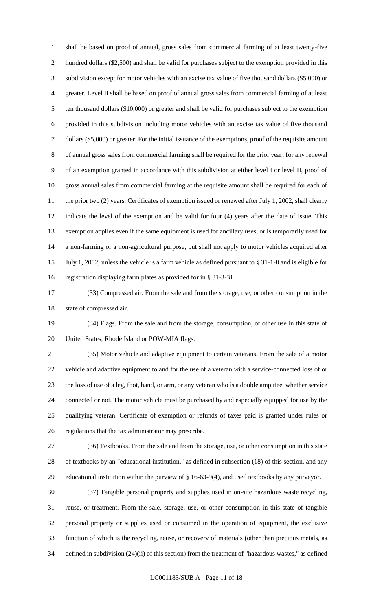shall be based on proof of annual, gross sales from commercial farming of at least twenty-five hundred dollars (\$2,500) and shall be valid for purchases subject to the exemption provided in this subdivision except for motor vehicles with an excise tax value of five thousand dollars (\$5,000) or greater. Level II shall be based on proof of annual gross sales from commercial farming of at least ten thousand dollars (\$10,000) or greater and shall be valid for purchases subject to the exemption provided in this subdivision including motor vehicles with an excise tax value of five thousand dollars (\$5,000) or greater. For the initial issuance of the exemptions, proof of the requisite amount of annual gross sales from commercial farming shall be required for the prior year; for any renewal of an exemption granted in accordance with this subdivision at either level I or level II, proof of gross annual sales from commercial farming at the requisite amount shall be required for each of 11 the prior two (2) years. Certificates of exemption issued or renewed after July 1, 2002, shall clearly indicate the level of the exemption and be valid for four (4) years after the date of issue. This exemption applies even if the same equipment is used for ancillary uses, or is temporarily used for a non-farming or a non-agricultural purpose, but shall not apply to motor vehicles acquired after July 1, 2002, unless the vehicle is a farm vehicle as defined pursuant to § 31-1-8 and is eligible for registration displaying farm plates as provided for in § 31-3-31.

 (33) Compressed air. From the sale and from the storage, use, or other consumption in the state of compressed air.

 (34) Flags. From the sale and from the storage, consumption, or other use in this state of United States, Rhode Island or POW-MIA flags.

 (35) Motor vehicle and adaptive equipment to certain veterans. From the sale of a motor vehicle and adaptive equipment to and for the use of a veteran with a service-connected loss of or the loss of use of a leg, foot, hand, or arm, or any veteran who is a double amputee, whether service connected or not. The motor vehicle must be purchased by and especially equipped for use by the qualifying veteran. Certificate of exemption or refunds of taxes paid is granted under rules or regulations that the tax administrator may prescribe.

 (36) Textbooks. From the sale and from the storage, use, or other consumption in this state of textbooks by an "educational institution," as defined in subsection (18) of this section, and any educational institution within the purview of § 16-63-9(4), and used textbooks by any purveyor.

 (37) Tangible personal property and supplies used in on-site hazardous waste recycling, reuse, or treatment. From the sale, storage, use, or other consumption in this state of tangible personal property or supplies used or consumed in the operation of equipment, the exclusive function of which is the recycling, reuse, or recovery of materials (other than precious metals, as defined in subdivision (24)(ii) of this section) from the treatment of "hazardous wastes," as defined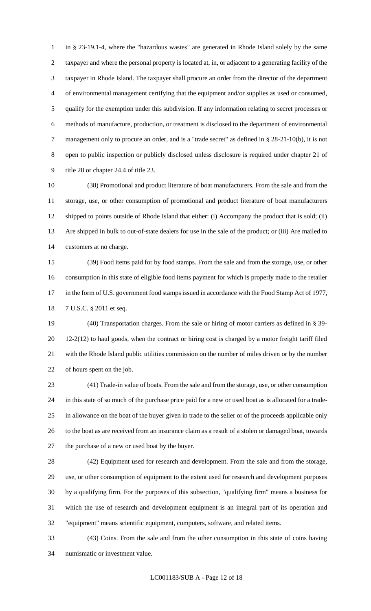in § 23-19.1-4, where the "hazardous wastes" are generated in Rhode Island solely by the same taxpayer and where the personal property is located at, in, or adjacent to a generating facility of the taxpayer in Rhode Island. The taxpayer shall procure an order from the director of the department of environmental management certifying that the equipment and/or supplies as used or consumed, qualify for the exemption under this subdivision. If any information relating to secret processes or methods of manufacture, production, or treatment is disclosed to the department of environmental management only to procure an order, and is a "trade secret" as defined in § 28-21-10(b), it is not open to public inspection or publicly disclosed unless disclosure is required under chapter 21 of title 28 or chapter 24.4 of title 23.

 (38) Promotional and product literature of boat manufacturers. From the sale and from the storage, use, or other consumption of promotional and product literature of boat manufacturers shipped to points outside of Rhode Island that either: (i) Accompany the product that is sold; (ii) Are shipped in bulk to out-of-state dealers for use in the sale of the product; or (iii) Are mailed to customers at no charge.

 (39) Food items paid for by food stamps. From the sale and from the storage, use, or other consumption in this state of eligible food items payment for which is properly made to the retailer 17 in the form of U.S. government food stamps issued in accordance with the Food Stamp Act of 1977, 7 U.S.C. § 2011 et seq.

 (40) Transportation charges. From the sale or hiring of motor carriers as defined in § 39- 12-2(12) to haul goods, when the contract or hiring cost is charged by a motor freight tariff filed with the Rhode Island public utilities commission on the number of miles driven or by the number of hours spent on the job.

 (41) Trade-in value of boats. From the sale and from the storage, use, or other consumption in this state of so much of the purchase price paid for a new or used boat as is allocated for a trade- in allowance on the boat of the buyer given in trade to the seller or of the proceeds applicable only to the boat as are received from an insurance claim as a result of a stolen or damaged boat, towards the purchase of a new or used boat by the buyer.

 (42) Equipment used for research and development. From the sale and from the storage, use, or other consumption of equipment to the extent used for research and development purposes by a qualifying firm. For the purposes of this subsection, "qualifying firm" means a business for which the use of research and development equipment is an integral part of its operation and "equipment" means scientific equipment, computers, software, and related items.

 (43) Coins. From the sale and from the other consumption in this state of coins having numismatic or investment value.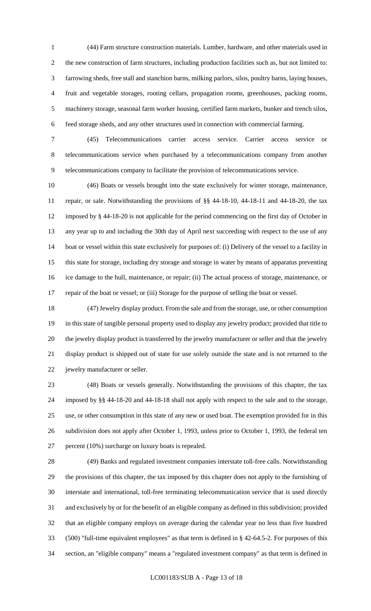(44) Farm structure construction materials. Lumber, hardware, and other materials used in the new construction of farm structures, including production facilities such as, but not limited to: farrowing sheds, free stall and stanchion barns, milking parlors, silos, poultry barns, laying houses, fruit and vegetable storages, rooting cellars, propagation rooms, greenhouses, packing rooms, machinery storage, seasonal farm worker housing, certified farm markets, bunker and trench silos, feed storage sheds, and any other structures used in connection with commercial farming.

 (45) Telecommunications carrier access service. Carrier access service or telecommunications service when purchased by a telecommunications company from another telecommunications company to facilitate the provision of telecommunications service.

 (46) Boats or vessels brought into the state exclusively for winter storage, maintenance, repair, or sale. Notwithstanding the provisions of §§ 44-18-10, 44-18-11 and 44-18-20, the tax imposed by § 44-18-20 is not applicable for the period commencing on the first day of October in any year up to and including the 30th day of April next succeeding with respect to the use of any boat or vessel within this state exclusively for purposes of: (i) Delivery of the vessel to a facility in this state for storage, including dry storage and storage in water by means of apparatus preventing ice damage to the hull, maintenance, or repair; (ii) The actual process of storage, maintenance, or repair of the boat or vessel; or (iii) Storage for the purpose of selling the boat or vessel.

 (47) Jewelry display product. From the sale and from the storage, use, or other consumption in this state of tangible personal property used to display any jewelry product; provided that title to the jewelry display product is transferred by the jewelry manufacturer or seller and that the jewelry display product is shipped out of state for use solely outside the state and is not returned to the jewelry manufacturer or seller.

 (48) Boats or vessels generally. Notwithstanding the provisions of this chapter, the tax imposed by §§ 44-18-20 and 44-18-18 shall not apply with respect to the sale and to the storage, use, or other consumption in this state of any new or used boat. The exemption provided for in this subdivision does not apply after October 1, 1993, unless prior to October 1, 1993, the federal ten percent (10%) surcharge on luxury boats is repealed.

 (49) Banks and regulated investment companies interstate toll-free calls. Notwithstanding the provisions of this chapter, the tax imposed by this chapter does not apply to the furnishing of interstate and international, toll-free terminating telecommunication service that is used directly and exclusively by or for the benefit of an eligible company as defined in this subdivision; provided that an eligible company employs on average during the calendar year no less than five hundred (500) "full-time equivalent employees" as that term is defined in § 42-64.5-2. For purposes of this section, an "eligible company" means a "regulated investment company" as that term is defined in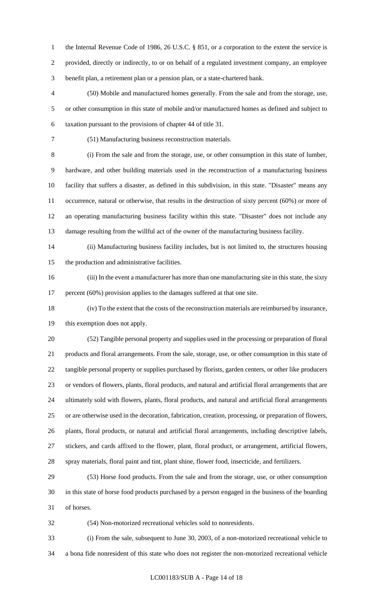1 the Internal Revenue Code of 1986, 26 U.S.C. § 851, or a corporation to the extent the service is provided, directly or indirectly, to or on behalf of a regulated investment company, an employee benefit plan, a retirement plan or a pension plan, or a state-chartered bank.

 (50) Mobile and manufactured homes generally. From the sale and from the storage, use, or other consumption in this state of mobile and/or manufactured homes as defined and subject to taxation pursuant to the provisions of chapter 44 of title 31.

(51) Manufacturing business reconstruction materials.

 (i) From the sale and from the storage, use, or other consumption in this state of lumber, hardware, and other building materials used in the reconstruction of a manufacturing business facility that suffers a disaster, as defined in this subdivision, in this state. "Disaster" means any occurrence, natural or otherwise, that results in the destruction of sixty percent (60%) or more of an operating manufacturing business facility within this state. "Disaster" does not include any damage resulting from the willful act of the owner of the manufacturing business facility.

 (ii) Manufacturing business facility includes, but is not limited to, the structures housing the production and administrative facilities.

 (iii) In the event a manufacturer has more than one manufacturing site in this state, the sixty 17 percent (60%) provision applies to the damages suffered at that one site.

 (iv) To the extent that the costs of the reconstruction materials are reimbursed by insurance, this exemption does not apply.

 (52) Tangible personal property and supplies used in the processing or preparation of floral products and floral arrangements. From the sale, storage, use, or other consumption in this state of tangible personal property or supplies purchased by florists, garden centers, or other like producers or vendors of flowers, plants, floral products, and natural and artificial floral arrangements that are ultimately sold with flowers, plants, floral products, and natural and artificial floral arrangements or are otherwise used in the decoration, fabrication, creation, processing, or preparation of flowers, plants, floral products, or natural and artificial floral arrangements, including descriptive labels, stickers, and cards affixed to the flower, plant, floral product, or arrangement, artificial flowers, spray materials, floral paint and tint, plant shine, flower food, insecticide, and fertilizers.

 (53) Horse food products. From the sale and from the storage, use, or other consumption in this state of horse food products purchased by a person engaged in the business of the boarding of horses.

(54) Non-motorized recreational vehicles sold to nonresidents.

 (i) From the sale, subsequent to June 30, 2003, of a non-motorized recreational vehicle to a bona fide nonresident of this state who does not register the non-motorized recreational vehicle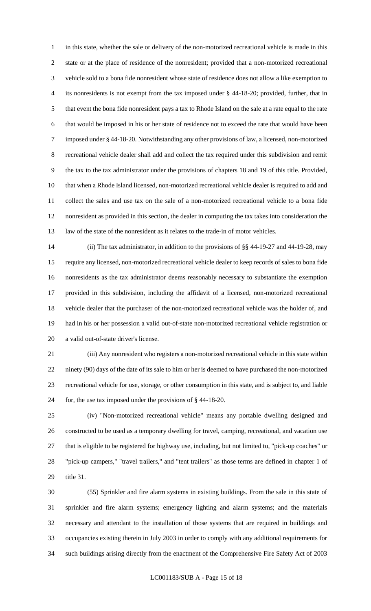in this state, whether the sale or delivery of the non-motorized recreational vehicle is made in this state or at the place of residence of the nonresident; provided that a non-motorized recreational vehicle sold to a bona fide nonresident whose state of residence does not allow a like exemption to its nonresidents is not exempt from the tax imposed under § 44-18-20; provided, further, that in that event the bona fide nonresident pays a tax to Rhode Island on the sale at a rate equal to the rate that would be imposed in his or her state of residence not to exceed the rate that would have been imposed under § 44-18-20. Notwithstanding any other provisions of law, a licensed, non-motorized recreational vehicle dealer shall add and collect the tax required under this subdivision and remit the tax to the tax administrator under the provisions of chapters 18 and 19 of this title. Provided, that when a Rhode Island licensed, non-motorized recreational vehicle dealer is required to add and collect the sales and use tax on the sale of a non-motorized recreational vehicle to a bona fide nonresident as provided in this section, the dealer in computing the tax takes into consideration the law of the state of the nonresident as it relates to the trade-in of motor vehicles.

 (ii) The tax administrator, in addition to the provisions of §§ 44-19-27 and 44-19-28, may require any licensed, non-motorized recreational vehicle dealer to keep records of sales to bona fide nonresidents as the tax administrator deems reasonably necessary to substantiate the exemption provided in this subdivision, including the affidavit of a licensed, non-motorized recreational vehicle dealer that the purchaser of the non-motorized recreational vehicle was the holder of, and had in his or her possession a valid out-of-state non-motorized recreational vehicle registration or a valid out-of-state driver's license.

 (iii) Any nonresident who registers a non-motorized recreational vehicle in this state within ninety (90) days of the date of its sale to him or her is deemed to have purchased the non-motorized recreational vehicle for use, storage, or other consumption in this state, and is subject to, and liable for, the use tax imposed under the provisions of § 44-18-20.

 (iv) "Non-motorized recreational vehicle" means any portable dwelling designed and constructed to be used as a temporary dwelling for travel, camping, recreational, and vacation use that is eligible to be registered for highway use, including, but not limited to, "pick-up coaches" or "pick-up campers," "travel trailers," and "tent trailers" as those terms are defined in chapter 1 of title 31.

 (55) Sprinkler and fire alarm systems in existing buildings. From the sale in this state of sprinkler and fire alarm systems; emergency lighting and alarm systems; and the materials necessary and attendant to the installation of those systems that are required in buildings and occupancies existing therein in July 2003 in order to comply with any additional requirements for such buildings arising directly from the enactment of the Comprehensive Fire Safety Act of 2003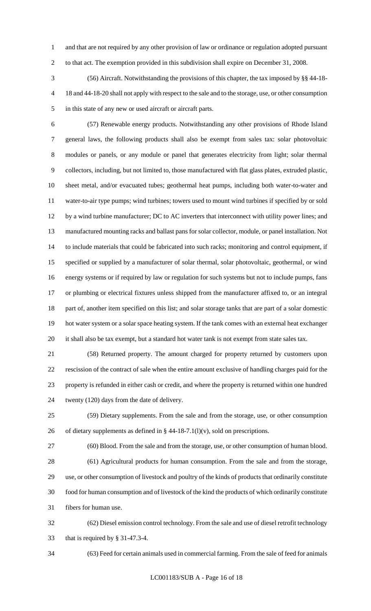and that are not required by any other provision of law or ordinance or regulation adopted pursuant to that act. The exemption provided in this subdivision shall expire on December 31, 2008.

 (56) Aircraft. Notwithstanding the provisions of this chapter, the tax imposed by §§ 44-18- 18 and 44-18-20 shall not apply with respect to the sale and to the storage, use, or other consumption in this state of any new or used aircraft or aircraft parts.

 (57) Renewable energy products. Notwithstanding any other provisions of Rhode Island general laws, the following products shall also be exempt from sales tax: solar photovoltaic modules or panels, or any module or panel that generates electricity from light; solar thermal collectors, including, but not limited to, those manufactured with flat glass plates, extruded plastic, sheet metal, and/or evacuated tubes; geothermal heat pumps, including both water-to-water and water-to-air type pumps; wind turbines; towers used to mount wind turbines if specified by or sold by a wind turbine manufacturer; DC to AC inverters that interconnect with utility power lines; and manufactured mounting racks and ballast pans for solar collector, module, or panel installation. Not to include materials that could be fabricated into such racks; monitoring and control equipment, if specified or supplied by a manufacturer of solar thermal, solar photovoltaic, geothermal, or wind energy systems or if required by law or regulation for such systems but not to include pumps, fans or plumbing or electrical fixtures unless shipped from the manufacturer affixed to, or an integral part of, another item specified on this list; and solar storage tanks that are part of a solar domestic hot water system or a solar space heating system. If the tank comes with an external heat exchanger it shall also be tax exempt, but a standard hot water tank is not exempt from state sales tax.

 (58) Returned property. The amount charged for property returned by customers upon rescission of the contract of sale when the entire amount exclusive of handling charges paid for the property is refunded in either cash or credit, and where the property is returned within one hundred twenty (120) days from the date of delivery.

 (59) Dietary supplements. From the sale and from the storage, use, or other consumption 26 of dietary supplements as defined in  $\S$  44-18-7.1(l)(v), sold on prescriptions.

 (60) Blood. From the sale and from the storage, use, or other consumption of human blood. (61) Agricultural products for human consumption. From the sale and from the storage, use, or other consumption of livestock and poultry of the kinds of products that ordinarily constitute food for human consumption and of livestock of the kind the products of which ordinarily constitute fibers for human use.

 (62) Diesel emission control technology. From the sale and use of diesel retrofit technology that is required by § 31-47.3-4.

(63) Feed for certain animals used in commercial farming. From the sale of feed for animals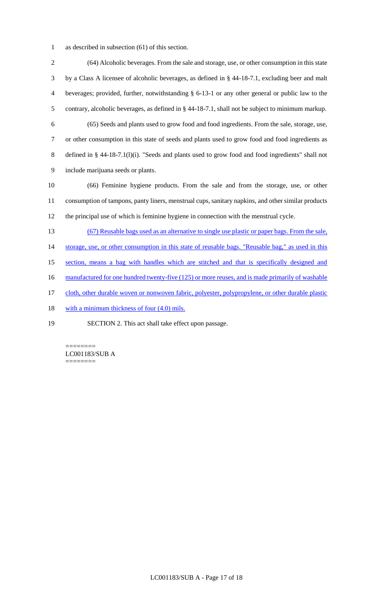as described in subsection (61) of this section.

 (64) Alcoholic beverages. From the sale and storage, use, or other consumption in this state by a Class A licensee of alcoholic beverages, as defined in § 44-18-7.1, excluding beer and malt beverages; provided, further, notwithstanding § 6-13-1 or any other general or public law to the contrary, alcoholic beverages, as defined in § 44-18-7.1, shall not be subject to minimum markup. (65) Seeds and plants used to grow food and food ingredients. From the sale, storage, use, or other consumption in this state of seeds and plants used to grow food and food ingredients as defined in § 44-18-7.1(l)(i). "Seeds and plants used to grow food and food ingredients" shall not include marijuana seeds or plants. (66) Feminine hygiene products. From the sale and from the storage, use, or other consumption of tampons, panty liners, menstrual cups, sanitary napkins, and other similar products the principal use of which is feminine hygiene in connection with the menstrual cycle. (67) Reusable bags used as an alternative to single use plastic or paper bags. From the sale, 14 storage, use, or other consumption in this state of reusable bags. "Reusable bag," as used in this section, means a bag with handles which are stitched and that is specifically designed and 16 manufactured for one hundred twenty-five (125) or more reuses, and is made primarily of washable cloth, other durable woven or nonwoven fabric, polyester, polypropylene, or other durable plastic 18 with a minimum thickness of four (4.0) mils.

SECTION 2. This act shall take effect upon passage.

LC001183/SUB A ========

========